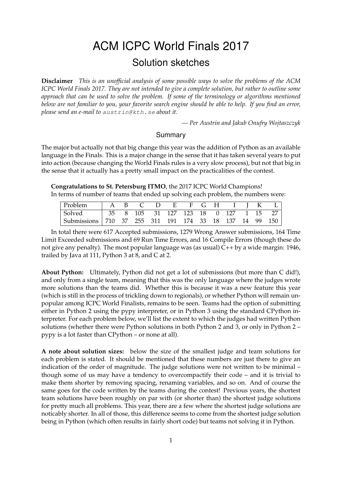# ACM ICPC World Finals 2017 Solution sketches

**Disclaimer** *This is an unofficial analysis of some possible ways to solve the problems of the ACM ICPC World Finals 2017. They are not intended to give a complete solution, but rather to outline some approach that can be used to solve the problem. If some of the terminology or algorithms mentioned below are not familiar to you, your favorite search engine should be able to help. If you find an error, please send an e-mail to* austrin@kth.se *about it.*

*— Per Austrin and Jakub Onufry Wojtaszczyk*

#### Summary

The major but actually not that big change this year was the addition of Python as an available language in the Finals. This is a major change in the sense that it has taken several years to put into action (because changing the World Finals rules is a very slow process), but not that big in the sense that it actually has a pretty small impact on the practicalities of the contest.

**Congratulations to St. Petersburg ITMO**, the 2017 ICPC World Champions! In terms of number of teams that ended up solving each problem, the numbers were:

| Problem                                                  |  |  | A B C D E F G H I J K                |  |  |  |  |
|----------------------------------------------------------|--|--|--------------------------------------|--|--|--|--|
| Solved                                                   |  |  | 35 8 105 31 127 123 18 0 127 1 15 27 |  |  |  |  |
| Submissions   710 37 255 311 191 174 33 18 137 14 99 150 |  |  |                                      |  |  |  |  |

In total there were 617 Accepted submissions, 1279 Wrong Answer submissions, 164 Time Limit Exceeded submissions and 69 Run Time Errors, and 16 Compile Errors (though these do not give any penalty). The most popular language was (as usual) C++ by a wide margin: 1946, trailed by Java at 111, Python 3 at 8, and C at 2.

**About Python:** Ultimately, Python did not get a lot of submissions (but more than C did!), and only from a single team, meaning that this was the only language where the judges wrote more solutions than the teams did. Whether this is because it was a new feature this year (which is still in the process of trickling down to regionals), or whether Python will remain unpopular among ICPC World Finalists, remains to be seen. Teams had the option of submitting either in Python 2 using the pypy interpreter, or in Python 3 using the standard CPython interpreter. For each problem below, we'll list the extent to which the judges had written Python solutions (whether there were Python solutions in both Python 2 and 3, or only in Python 2 – pypy is a lot faster than CPython – or none at all).

**A note about solution sizes:** below the size of the smallest judge and team solutions for each problem is stated. It should be mentioned that these numbers are just there to give an indication of the order of magnitude. The judge solutions were not written to be minimal – though some of us may have a tendency to overcompactify their code – and it is trivial to make them shorter by removing spacing, renaming variables, and so on. And of course the same goes for the code written by the teams during the contest! Previous years, the shortest team solutions have been roughly on par with (or shorter than) the shortest judge solutions for pretty much all problems. This year, there are a few where the shortest judge solutions are noticably shorter. In all of those, this difference seems to come from the shortest judge solution being in Python (which often results in fairly short code) but teams not solving it in Python.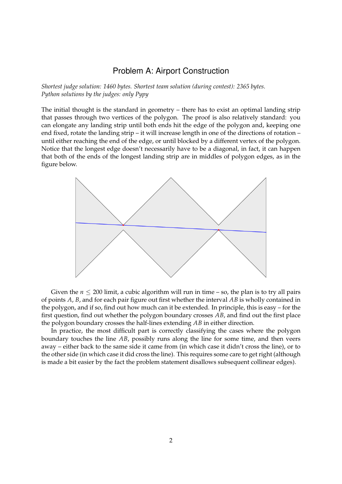## Problem A: Airport Construction

*Shortest judge solution: 1460 bytes. Shortest team solution (during contest): 2365 bytes. Python solutions by the judges: only Pypy*

The initial thought is the standard in geometry – there has to exist an optimal landing strip that passes through two vertices of the polygon. The proof is also relatively standard: you can elongate any landing strip until both ends hit the edge of the polygon and, keeping one end fixed, rotate the landing strip – it will increase length in one of the directions of rotation – until either reaching the end of the edge, or until blocked by a different vertex of the polygon. Notice that the longest edge doesn't necessarily have to be a diagonal, in fact, it can happen that both of the ends of the longest landing strip are in middles of polygon edges, as in the figure below.



Given the  $n \leq 200$  limit, a cubic algorithm will run in time – so, the plan is to try all pairs of points *A*, *B*, and for each pair figure out first whether the interval *AB* is wholly contained in the polygon, and if so, find out how much can it be extended. In principle, this is easy – for the first question, find out whether the polygon boundary crosses *AB*, and find out the first place the polygon boundary crosses the half-lines extending *AB* in either direction.

In practice, the most difficult part is correctly classifying the cases where the polygon boundary touches the line *AB*, possibly runs along the line for some time, and then veers away – either back to the same side it came from (in which case it didn't cross the line), or to the other side (in which case it did cross the line). This requires some care to get right (although is made a bit easier by the fact the problem statement disallows subsequent collinear edges).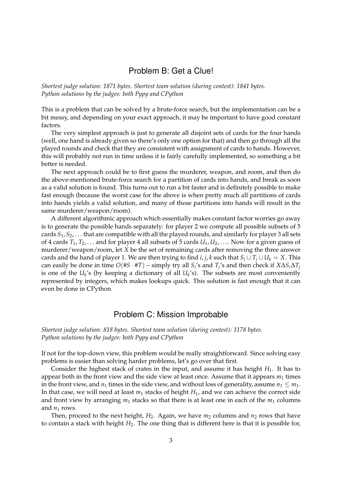## Problem B: Get a Clue!

*Shortest judge solution: 1871 bytes. Shortest team solution (during contest): 1841 bytes. Python solutions by the judges: both Pypy and CPython*

This is a problem that can be solved by a brute-force search, but the implementation can be a bit messy, and depending on your exact approach, it may be important to have good constant factors.

The very simplest approach is just to generate all disjoint sets of cards for the four hands (well, one hand is already given so there's only one option for that) and then go through all the played rounds and check that they are consistent with assignment of cards to hands. However, this will probably not run in time unless it is fairly carefully implemented, so something a bit better is needed.

The next approach could be to first guess the murderer, weapon, and room, and then do the above-mentioned brute-force search for a partition of cards into hands, and break as soon as a valid solution is found. This turns out to run a bit faster and is definitely possible to make fast enough (because the worst case for the above is when pretty much all partitions of cards into hands yields a valid solution, and many of those partitions into hands will result in the same murderer/weapon/room).

A different algorithmic approach which essentially makes constant factor worries go away is to generate the possible hands separately: for player 2 we compute all possible subsets of 5 cards *S*1, *S*2, . . . that are compatible with all the played rounds, and similarly for player 3 all sets of 4 cards  $T_1, T_2, \ldots$  and for player 4 all subsets of 5 cards  $U_1, U_2, \ldots$  Now for a given guess of murderer/weapon/room, let *X* be the set of remaining cards after removing the three answer cards and the hand of player 1. We are then trying to find *i*, *j*, *k* such that  $S_i \cup T_j \cup U_k = X$ . This  $\alpha$  can easily be done in time  $O(\#S \cdot \#T)$  – simply try all  $S_i$ 's and  $T_j$ 's and then check if  $X \Delta S_i \Delta T_j$ is one of the  $U_k$ 's (by keeping a dictionary of all  $U_k$ 's). The subsets are most conveniently represented by integers, which makes lookups quick. This solution is fast enough that it can even be done in CPython.

#### Problem C: Mission Improbable

*Shortest judge solution: 818 bytes. Shortest team solution (during contest): 1178 bytes. Python solutions by the judges: both Pypy and CPython*

If not for the top-down view, this problem would be really straightforward. Since solving easy problems is easier than solving harder problems, let's go over that first.

Consider the highest stack of crates in the input, and assume it has height *H*1. It has to appear both in the front view and the side view at least once. Assume that it appears  $m_1$  times in the front view, and  $n_1$  times in the side view, and without loss of generality, assume  $n_1 \leq m_1$ . In that case, we will need at least *m*<sup>1</sup> stacks of height *H*1, and we can achieve the correct side and front view by arranging  $m_1$  stacks so that there is at least one in each of the  $m_1$  columns and  $n_1$  rows.

Then, proceed to the next height,  $H_2$ . Again, we have  $m_2$  columns and  $n_2$  rows that have to contain a stack with height *H*2. The one thing that is different here is that it is possible for,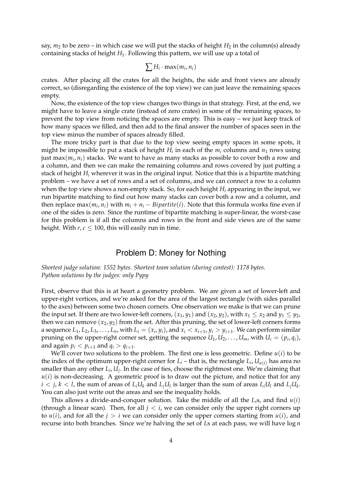say,  $m_2$  to be zero – in which case we will put the stacks of height  $H_2$  in the column(s) already containing stacks of height *H*1. Following this pattern, we will use up a total of

$$
\sum H_i \cdot \max(m_i, n_i)
$$

crates. After placing all the crates for all the heights, the side and front views are already correct, so (disregarding the existence of the top view) we can just leave the remaining spaces empty.

Now, the existence of the top view changes two things in that strategy. First, at the end, we might have to leave a single crate (instead of zero crates) in some of the remaining spaces, to prevent the top view from noticing the spaces are empty. This is easy – we just keep track of how many spaces we filled, and then add to the final answer the number of spaces seen in the top view minus the number of spaces already filled.

The more tricky part is that due to the top view seeing empty spaces in some spots, it might be impossible to put a stack of height *H<sup>i</sup>* in each of the *m<sup>i</sup>* columns and *n*<sup>1</sup> rows using just max $(m_i,n_i)$  stacks. We want to have as many stacks as possible to cover both a row and a column, and then we can make the remaining columns and rows covered by just putting a stack of height *H<sup>i</sup>* wherever it was in the original input. Notice that this is a bipartite matching problem – we have a set of rows and a set of columns, and we can connect a row to a column when the top view shows a non-empty stack. So, for each height *H<sup>i</sup>* appearing in the input, we run bipartite matching to find out how many stacks can cover both a row and a column, and then replace max $(m_i, n_i)$  with  $m_i + n_i - Bipartite(i)$ . Note that this formula works fine even if one of the sides is zero. Since the runtime of bipartite matching is super-linear, the worst-case for this problem is if all the columns and rows in the front and side views are of the same height. With  $r, c \leq 100$ , this will easily run in time.

#### Problem D: Money for Nothing

*Shortest judge solution: 1552 bytes. Shortest team solution (during contest): 1178 bytes. Python solutions by the judges: only Pypy*

First, observe that this is at heart a geometry problem. We are given a set of lower-left and upper-right vertices, and we're asked for the area of the largest rectangle (with sides parallel to the axes) between some two chosen corners. One observation we make is that we can prune the input set. If there are two lower-left corners,  $(x_1, y_1)$  and  $(x_2, y_2)$ , with  $x_1 \le x_2$  and  $y_1 \le y_2$ , then we can remove  $(x_2, y_2)$  from the set. After this pruning, the set of lower-left corners forms a sequence  $L_1, L_2, L_3, \ldots, L_n$ , with  $L_i = (x_i, y_i)$ , and  $x_i < x_{i+1}$ ,  $y_i > y_{i+1}$ . We can perform similar pruning on the upper-right corner set, getting the sequence  $U_1, U_2, \ldots, U_m$ , with  $U_i = (p_i, q_i)$ , and again  $p_i < p_{i+1}$  and  $q_i > q_{i+1}$ .

We'll cover two solutions to the problem. The first one is less geometric. Define  $u(i)$  to be the index of the optimum upper-right corner for  $L_i$  – that is, the rectangle  $L_i$ ,  $U_{u(i)}$  has area no smaller than any other *L<sup>i</sup>* , *U<sup>j</sup>* . In the case of ties, choose the rightmost one. We're claiming that  $u(i)$  is non-decreasing. A geometric proof is to draw out the picture, and notice that for any  $i < j$ ,  $k < l$ , the sum of areas of  $L_i U_k$  and  $L_j U_l$  is larger than the sum of areas  $L_i U_l$  and  $L_j U_k$ . You can also just write out the areas and see the inequality holds.

This allows a divide-and-conquer solution. Take the middle of all the *Li*s, and find *u*(*i*) (through a linear scan). Then, for all  $j < i$ , we can consider only the upper right corners up to  $u(i)$ , and for all the  $j > i$  we can consider only the upper corners starting from  $u(i)$ , and recurse into both branches. Since we're halving the set of *L*s at each pass, we will have log *n*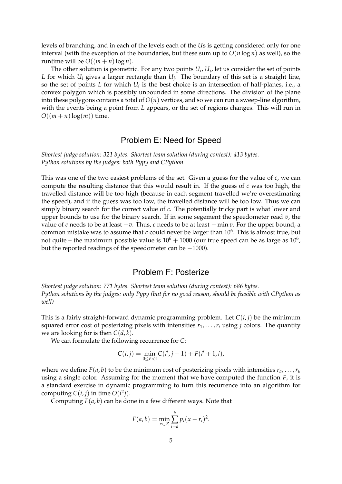levels of branching, and in each of the levels each of the *U*s is getting considered only for one interval (with the exception of the boundaries, but these sum up to  $O(n \log n)$  as well), so the runtime will be  $O((m + n)\log n)$ .

The other solution is geometric. For any two points  $U_i$ ,  $U_j$ , let us consider the set of points *L* for which *U<sup>i</sup>* gives a larger rectangle than *U<sup>j</sup>* . The boundary of this set is a straight line, so the set of points  $L$  for which  $U_i$  is the best choice is an intersection of half-planes, i.e., a convex polygon which is possibly unbounded in some directions. The division of the plane into these polygons contains a total of  $O(n)$  vertices, and so we can run a sweep-line algorithm, with the events being a point from *L* appears, or the set of regions changes. This will run in  $O((m+n)\log(m))$  time.

# Problem E: Need for Speed

*Shortest judge solution: 321 bytes. Shortest team solution (during contest): 413 bytes. Python solutions by the judges: both Pypy and CPython*

This was one of the two easiest problems of the set. Given a guess for the value of *c*, we can compute the resulting distance that this would result in. If the guess of *c* was too high, the travelled distance will be too high (because in each segment travelled we're overestimating the speed), and if the guess was too low, the travelled distance will be too low. Thus we can simply binary search for the correct value of *c*. The potentially tricky part is what lower and upper bounds to use for the binary search. If in some segement the speedometer read *v*, the value of *c* needs to be at least −*v*. Thus, *c* needs to be at least − min *v*. For the upper bound, a common mistake was to assume that *c* could never be larger than 10<sup>6</sup>. This is almost true, but not quite – the maximum possible value is  $10^6 + 1000$  (our true speed can be as large as  $10^6$ , but the reported readings of the speedometer can be −1000).

## Problem F: Posterize

*Shortest judge solution: 771 bytes. Shortest team solution (during contest): 686 bytes. Python solutions by the judges: only Pypy (but for no good reason, should be feasible with CPython as well)*

This is a fairly straight-forward dynamic programming problem. Let  $C(i, j)$  be the minimum squared error cost of posterizing pixels with intensities  $r_1, \ldots, r_i$  using *j* colors. The quantity we are looking for is then  $C(d, k)$ .

We can formulate the following recurrence for *C*:

$$
C(i,j) = \min_{0 \le i' < i} C(i', j-1) + F(i'+1, i),
$$

where we define  $F(a, b)$  to be the minimum cost of posterizing pixels with intensities  $r_a, \ldots, r_b$ using a single color. Assuming for the moment that we have computed the function *F*, it is a standard exercise in dynamic programming to turn this recurrence into an algorithm for computing  $C(i, j)$  in time  $O(i^2j)$ .

Computing  $F(a, b)$  can be done in a few different ways. Note that

$$
F(a,b) = \min_{x \in \mathbb{Z}} \sum_{i=a}^{b} p_i (x - r_i)^2.
$$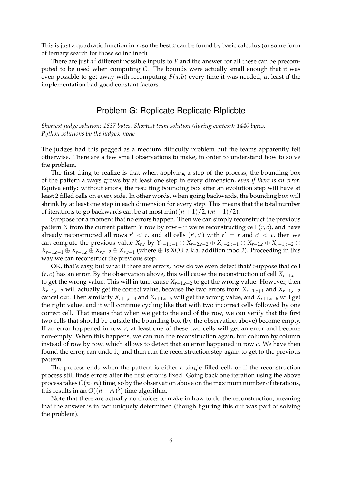This is just a quadratic function in *x*, so the best *x* can be found by basic calculus (or some form of ternary search for those so inclined).

There are just  $d^2$  different possible inputs to *F* and the answer for all these can be precomputed to be used when computing *C*. The bounds were actually small enough that it was even possible to get away with recomputing *F*(*a*, *b*) every time it was needed, at least if the implementation had good constant factors.

#### Problem G: Replicate Replicate Rfplicbte

*Shortest judge solution: 1637 bytes. Shortest team solution (during contest): 1440 bytes. Python solutions by the judges: none*

The judges had this pegged as a medium difficulty problem but the teams apparently felt otherwise. There are a few small observations to make, in order to understand how to solve the problem.

The first thing to realize is that when applying a step of the process, the bounding box of the pattern always grows by at least one step in every dimension, *even if there is an error*. Equivalently: without errors, the resulting bounding box after an evolution step will have at least 2 filled cells on every side. In other words, when going backwards, the bounding box will shrink by at least one step in each dimension for every step. This means that the total number of iterations to go backwards can be at most  $\min((n+1)/2,(m+1)/2)$ .

Suppose for a moment that no errors happen. Then we can simply reconstruct the previous pattern *X* from the current pattern *Y* row by row – if we're reconstructing cell  $(r, c)$ , and have already reconstructed all rows  $r' < r$ , and all cells  $(r', c')$  with  $r' = r$  and  $c' < c$ , then we can compute the previous value  $X_{r,c}$  by  $Y_{r-1,c-1} \oplus X_{r-2,c-2} \oplus X_{r-2,c-1} \oplus X_{r-2,c} \oplus X_{r-1,c-2} \oplus$ *X*<sub>*r*−1,*c*−1 ⊕ *X*<sub>*r*−1,*c*</sub> ⊕ *X*<sub>*r*,*c*−2 ⊕ *X*<sub>*r*,*c*−1</sub> (where ⊕ is XOR a.k.a. addition mod 2). Proceeding in this</sub></sub> way we can reconstruct the previous step.

OK, that's easy, but what if there are errors, how do we even detect that? Suppose that cell  $(r, c)$  has an error. By the observation above, this will cause the reconstruction of cell  $X_{r+1,c+1}$ to get the wrong value. This will in turn cause  $X_{r+1,c+2}$  to get the wrong value. However, then  $X_{r+1,c+3}$  will actually get the correct value, because the two errors from  $X_{r+1,c+1}$  and  $X_{r+1,c+2}$ cancel out. Then similarly  $X_{r+1,c+4}$  and  $X_{r+1,c+5}$  will get the wrong value, and  $X_{r+1,c+6}$  will get the right value, and it will continue cycling like that with two incorrect cells followed by one correct cell. That means that when we get to the end of the row, we can verify that the first two cells that should be outside the bounding box (by the observation above) become empty. If an error happened in row *r*, at least one of these two cells will get an error and become non-empty. When this happens, we can run the reconstruction again, but column by column instead of row by row, which allows to detect that an error happened in row *c*. We have then found the error, can undo it, and then run the reconstruction step again to get to the previous pattern.

The process ends when the pattern is either a single filled cell, or if the reconstruction process still finds errors after the first error is fixed. Going back one iteration using the above process takes  $O(n \cdot m)$  time, so by the observation above on the maximum number of iterations, this results in an  $O((n+m)^3)$  time algorithm.

Note that there are actually no choices to make in how to do the reconstruction, meaning that the answer is in fact uniquely determined (though figuring this out was part of solving the problem).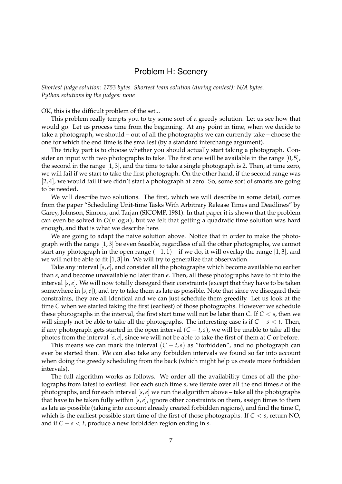#### Problem H: Scenery

*Shortest judge solution: 1753 bytes. Shortest team solution (during contest): N/A bytes. Python solutions by the judges: none*

OK, this is the difficult problem of the set...

This problem really tempts you to try some sort of a greedy solution. Let us see how that would go. Let us process time from the beginning. At any point in time, when we decide to take a photograph, we should – out of all the photographs we can currently take – choose the one for which the end time is the smallest (by a standard interchange argument).

The tricky part is to choose whether you should actually start taking a photograph. Consider an input with two photographs to take. The first one will be available in the range  $[0, 5]$ , the second in the range  $[1,3]$ , and the time to take a single photograph is 2. Then, at time zero, we will fail if we start to take the first photograph. On the other hand, if the second range was [2, 4], we would fail if we didn't start a photograph at zero. So, some sort of smarts are going to be needed.

We will describe two solutions. The first, which we will describe in some detail, comes from the paper "Scheduling Unit-time Tasks With Arbitrary Release Times and Deadlines" by Garey, Johnson, Simons, and Tarjan (SICOMP, 1981). In that paper it is shown that the problem can even be solved in *O*(*n* log *n*), but we felt that getting a quadratic time solution was hard enough, and that is what we describe here.

We are going to adapt the naive solution above. Notice that in order to make the photograph with the range [1, 3] be even feasible, regardless of all the other photographs, we cannot start any photograph in the open range  $(-1, 1)$  – if we do, it will overlap the range [1,3], and we will not be able to fit [1, 3] in. We will try to generalize that observation.

Take any interval [*s*,*e*], and consider all the photographs which become available no earlier than *s*, and become unavailable no later than *e*. Then, all these photographs have to fit into the interval [*s*,*e*]. We will now totally disregard their constraints (except that they have to be taken somewhere in [*s*,*e*]), and try to take them as late as possible. Note that since we disregard their constraints, they are all identical and we can just schedule them greedily. Let us look at the time *C* when we started taking the first (earliest) of those photographs. However we schedule these photographs in the interval, the first start time will not be later than *C*. If *C* < *s*, then we will simply not be able to take all the photographs. The interesting case is if  $C - s < t$ . Then, if any photograph gets started in the open interval  $(C - t, s)$ , we will be unable to take all the photos from the interval [*s*,*e*], since we will not be able to take the first of them at *C* or before.

This means we can mark the interval  $(C - t, s)$  as "forbidden", and no photograph can ever be started then. We can also take any forbidden intervals we found so far into account when doing the greedy scheduling from the back (which might help us create more forbidden intervals).

The full algorithm works as follows. We order all the availability times of all the photographs from latest to earliest. For each such time *s*, we iterate over all the end times *e* of the photographs, and for each interval [*s*,*e*] we run the algorithm above – take all the photographs that have to be taken fully within [*s*,*e*], ignore other constraints on them, assign times to them as late as possible (taking into account already created forbidden regions), and find the time *C*, which is the earliest possible start time of the first of those photographs. If  $C \leq s$ , return NO, and if *C* − *s* < *t*, produce a new forbidden region ending in *s*.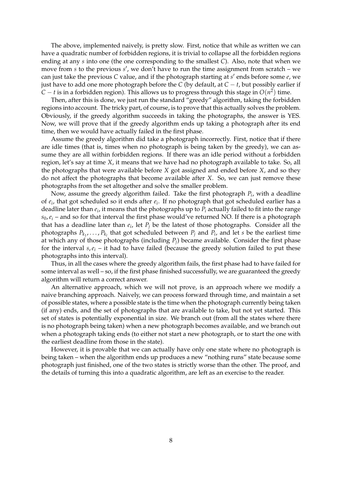The above, implemented naively, is pretty slow. First, notice that while as written we can have a quadratic number of forbidden regions, it is trivial to collapse all the forbidden regions ending at any *s* into one (the one corresponding to the smallest *C*). Also, note that when we move from *s* to the previous *s'*, we don't have to run the time assignment from scratch – we can just take the previous *C* value, and if the photograph starting at *s'* ends before some *e*, we just have to add one more photograph before the  $C$  (by default, at  $C - t$ , but possibly earlier if  $C - t$  is in a forbidden region). This allows us to progress through this stage in  $O(n^2)$  time.

Then, after this is done, we just run the standard "greedy" algorithm, taking the forbidden regions into account. The tricky part, of course, is to prove that this actually solves the problem. Obviously, if the greedy algorithm succeeds in taking the photographs, the answer is YES. Now, we will prove that if the greedy algorithm ends up taking a photograph after its end time, then we would have actually failed in the first phase.

Assume the greedy algorithm did take a photograph incorrectly. First, notice that if there are idle times (that is, times when no photograph is being taken by the greedy), we can assume they are all within forbidden regions. If there was an idle period without a forbidden region, let's say at time *X*, it means that we have had no photograph available to take. So, all the photographs that were available before *X* got assigned and ended before *X*, and so they do not affect the photographs that become available after *X*. So, we can just remove these photographs from the set altogether and solve the smaller problem.

Now, assume the greedy algorithm failed. Take the first photograph *P<sup>i</sup>* , with a deadline of *e<sup>i</sup>* , that got scheduled so it ends after *e<sup>i</sup>* . If no photograph that got scheduled earlier has a deadline later than *e<sup>i</sup>* , it means that the photographs up to *P<sup>i</sup>* actually failed to fit into the range  $s_0$ ,  $e_i$  – and so for that interval the first phase would've returned NO. If there is a photograph that has a deadline later than *e<sup>i</sup>* , let *P<sup>j</sup>* be the latest of those photographs. Consider all the photographs  $P_{k_1}, \ldots, P_{k_l}$  that got scheduled between  $P_j$  and  $P_i$ , and let *s* be the earliest time at which any of those photographs (including *P<sup>j</sup>* ) became available. Consider the first phase for the interval  $s, e_i$  – it had to have failed (because the greedy solution failed to put these photographs into this interval).

Thus, in all the cases where the greedy algorithm fails, the first phase had to have failed for some interval as well – so, if the first phase finished successfully, we are guaranteed the greedy algorithm will return a correct answer.

An alternative approach, which we will not prove, is an approach where we modify a naive branching approach. Naively, we can process forward through time, and maintain a set of possible states, where a possible state is the time when the photograph currently being taken (if any) ends, and the set of photographs that are available to take, but not yet started. This set of states is potentially exponential in size. We branch out (from all the states where there is no photograph being taken) when a new photograph becomes available, and we branch out when a photograph taking ends (to either not start a new photograph, or to start the one with the earliest deadline from those in the state).

However, it is provable that we can actually have only one state where no photograph is being taken – when the algorithm ends up produces a new "nothing runs" state because some photograph just finished, one of the two states is strictly worse than the other. The proof, and the details of turning this into a quadratic algorithm, are left as an exercise to the reader.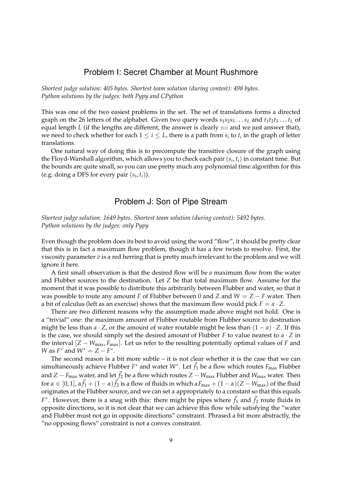#### Problem I: Secret Chamber at Mount Rushmore

*Shortest judge solution: 405 bytes. Shortest team solution (during contest): 498 bytes. Python solutions by the judges: both Pypy and CPython*

This was one of the two easiest problems in the set. The set of translations forms a directed graph on the 26 letters of the alphabet. Given two query words *s*1*s*2*s*<sup>3</sup> . . .*s<sup>L</sup>* and *t*1*t*2*t*<sup>3</sup> . . . *t<sup>L</sup>* of equal length *L* (if the lengths are different, the answer is clearly no and we just answer that), we need to check whether for each  $1 \leq i \leq L$ , there is a path from  $s_i$  to  $t_i$  in the graph of letter translations.

One natural way of doing this is to precompute the transitive closure of the graph using the Floyd-Warshall algorithm, which allows you to check each pair (*s<sup>i</sup>* , *ti*) in constant time. But the bounds are quite small, so you can use pretty much any polynomial time algorithm for this (e.g. doing a DFS for every pair  $(s_i, t_i)$ ).

#### Problem J: Son of Pipe Stream

*Shortest judge solution: 1649 bytes. Shortest team solution (during contest): 5492 bytes. Python solutions by the judges: only Pypy*

Even though the problem does its best to avoid using the word "flow", it should be pretty clear that this is in fact a maximum flow problem, though it has a few twists to resolve. First, the viscosity parameter *v* is a red herring that is pretty much irrelevant to the problem and we will ignore it here.

A first small observation is that the desired flow will be *a* maximum flow from the water and Flubber sources to the destination. Let *Z* be that total maximum flow. Assume for the moment that it was possible to distribute this arbitrarily between Flubber and water, so that it was possible to route any amount *F* of Flubber between 0 and *Z* and *W* = *Z* − *F* water. Then a bit of calculus (left as an exercise) shows that the maximum flow would pick  $F = a \cdot Z$ .

There are two different reasons why the assumption made above might not hold. One is a "trivial" one: the maximum amount of Flubber routable from Flubber source to destination might be less than  $a \cdot Z$ , or the amount of water routable might be less than  $(1 - a) \cdot Z$ . If this is the case, we should simply set the desired amount of Flubber *F* to value nearest to *a* · *Z* in the interval  $[Z - W_{\text{max}}, F_{\text{max}}]$ . Let us refer to the resulting potentially optimal values of *F* and *W* as  $F^*$  and  $W^* = Z - F^*$ .

The second reason is a bit more subtle – it is not clear whether it is the case that we can simultaneously achieve Flubber  $F^*$  and water  $W^*$ . Let  $\vec{f}_1$  be a flow which routes  $F_{\text{max}}$  Flubber and *Z* − *F*<sub>max</sub> water, and let  $\vec{f}_2$  be a flow which routes *Z* − *W*<sub>max</sub> Flubber and *W*<sub>max</sub> water. Then for  $\alpha \in [0,1]$ ,  $\alpha \vec{f}_1 + (1-\alpha)\vec{f}_2$  is a flow of fluids in which  $\alpha F_{\text{max}} + (1-\alpha)(Z - W_{\text{max}})$  of the fluid originates at the Flubber source, and we can set *α* appropriately to a constant so that this equals  $F^*$ . However, there is a snag with this: there might be pipes where  $\vec{f}_1$  and  $\vec{f}_2$  route fluids in opposite directions, so it is not clear that we can achieve this flow while satisfying the "water and Flubber must not go in opposite directions" constraint. Phrased a bit more abstractly, the "no opposing flows" constraint is not a convex constraint.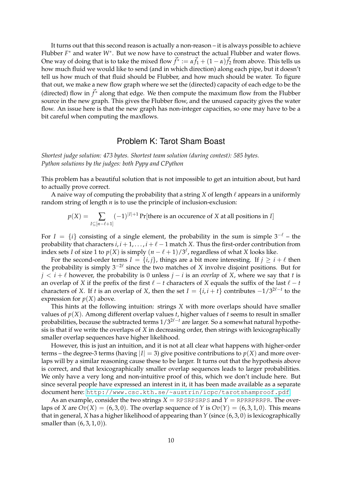It turns out that this second reason is actually a non-reason – it is always possible to achieve Flubber *F* <sup>∗</sup> and water *W*<sup>∗</sup> . But we now have to construct the actual Flubber and water flows. One way of doing that is to take the mixed flow  $\vec{f}^* := \alpha \vec{f}_1 + (1-\alpha) \vec{f}_2$  from above. This tells us how much fluid we would like to send (and in which direction) along each pipe, but it doesn't tell us how much of that fluid should be Flubber, and how much should be water. To figure that out, we make a new flow graph where we set the (directed) capacity of each edge to be the (directed) flow in  $\vec{f}^*$  along that edge. We then compute the maximum flow from the Flubber source in the new graph. This gives the Flubber flow, and the unused capacity gives the water flow. An issue here is that the new graph has non-integer capacities, so one may have to be a bit careful when computing the maxflows.

# Problem K: Tarot Sham Boast

*Shortest judge solution: 473 bytes. Shortest team solution (during contest): 585 bytes. Python solutions by the judges: both Pypy and CPython*

This problem has a beautiful solution that is not impossible to get an intuition about, but hard to actually prove correct.

A naive way of computing the probability that a string  $X$  of length  $\ell$  appears in a uniformly random string of length *n* is to use the principle of inclusion-exclusion:

$$
p(X) = \sum_{I \subseteq [n-\ell+1]} (-1)^{|I|+1} \Pr[\text{there is an occurrence of } X \text{ at all positions in } I]
$$

For  $I = \{i\}$  consisting of a single element, the probability in the sum is simple  $3^{-\ell}$  – the probability that characters  $i, i + 1, \ldots, i + \ell - 1$  match *X*. Thus the first-order contribution from index sets *I* of size 1 to  $p(X)$  is simply  $(n - \ell + 1)/3^{\ell}$ , regardless of what *X* looks like.

For the second-order terms  $I = \{i, j\}$ , things are a bit more interesting. If  $j \geq i + \ell$  then the probability is simply  $3^{-2\ell}$  since the two matches of *X* involve disjoint positions. But for *j* <  $i + l$  however, the probability is 0 unless *j* − *i* is an *overlap* of *X*, where we say that *t* is an overlap of *X* if the prefix of the first  $\ell - t$  characters of *X* equals the suffix of the last  $\ell - t$ characters of *X*. If *t* is an overlap of *X*, then the set  $I = \{i, i + \overline{t}\}$  contributes  $-1/3^{2\ell - t}$  to the expression for  $p(X)$  above.

This hints at the following intuition: strings *X* with more overlaps should have smaller values of *p*(*X*). Among different overlap values *t*, higher values of *t* seems to result in smaller probabilities, because the subtracted terms  $1/3^{2\ell-t}$  are larger. So a somewhat natural hypothesis is that if we write the overlaps of *X* in decreasing order, then strings with lexicographically smaller overlap sequences have higher likelihood.

However, this is just an intuition, and it is not at all clear what happens with higher-order terms – the degree-3 terms (having  $|I| = 3$ ) give positive contributions to  $p(X)$  and more overlaps will by a similar reasoning cause these to be larger. It turns out that the hypothesis above is correct, and that lexicographically smaller overlap sequences leads to larger probabilities. We only have a very long and non-intuitive proof of this, which we don't include here. But since several people have expressed an interest in it, it has been made available as a separate document here: <http://www.csc.kth.se/~austrin/icpc/tarotshamproof.pdf>.

As an example, consider the two strings  $X = RPSRPSRPS$  and  $Y = RPRRPRRPR$ . The overlaps of *X* are  $Ov(X) = (6, 3, 0)$ . The overlap sequence of *Y* is  $Ov(Y) = (6, 3, 1, 0)$ . This means that in general, *X* has a higher likelihood of appearing than *Y* (since (6, 3, 0) is lexicographically smaller than  $(6, 3, 1, 0)$ ).